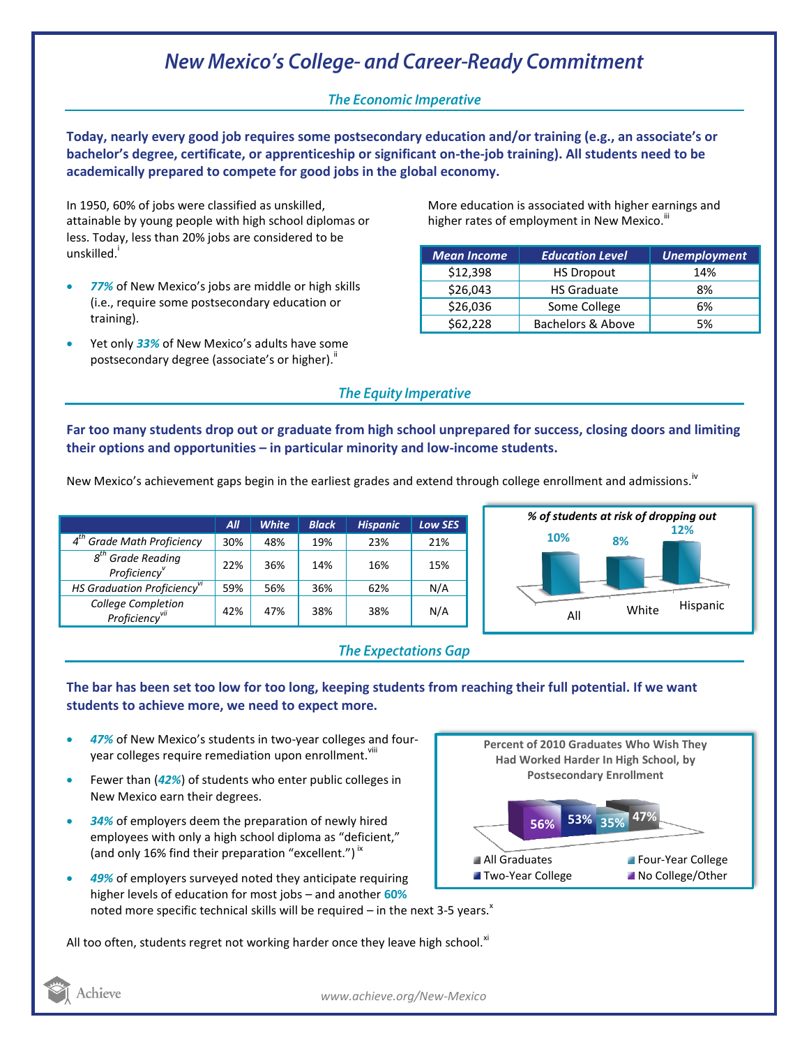# **New Mexico's College- and Career-Ready Commitment**

### **The Economic Imperative**

**Today, nearly every good job requires some postsecondary education and/or training (e.g., an associate's or bachelor's degree, certificate, or apprenticeship or significant on-the-job training). All students need to be academically prepared to compete for good jobs in the global economy.**

In 1950, 60% of jobs were classified as unskilled, attainable by young people with high school diplomas or less. Today, less than 20% jobs are considered to be unskilled.<sup>'</sup>

- *77%* of New Mexico's jobs are middle or high skills (i.e., require some postsecondary education or training).
- Yet only *33%* of New Mexico's adults have some postsecondary degree (associate's or higher)."

More education is associated with higher earnings and higher rates of employment in New Mexico.<sup>III</sup>

| <b>Mean Income</b> | <b>Education Level</b> | <b>Unemployment</b> |
|--------------------|------------------------|---------------------|
| \$12,398           | <b>HS Dropout</b>      | 14%                 |
| \$26,043           | <b>HS Graduate</b>     | 8%                  |
| \$26,036           | Some College           | 6%                  |
| \$62,228           | Bachelors & Above      | 5%                  |

#### **The Equity Imperative**

**Far too many students drop out or graduate from high school unprepared for success, closing doors and limiting their options and opportunities – in particular minority and low-income students.** 

New Mexico's achievement gaps begin in the earliest grades and extend through college enrollment and admissions.<sup>iv</sup>

|                                                  | All | <b>White</b> | <b>Black</b> | <b>Hispanic</b> | <b>Low SES</b> |
|--------------------------------------------------|-----|--------------|--------------|-----------------|----------------|
| 4 <sup>th</sup> Grade Math Proficiency           | 30% | 48%          | 19%          | 23%             | 21%            |
| $8th$ Grade Reading<br>Proficiency <sup>v</sup>  | 22% | 36%          | 14%          | 16%             | 15%            |
| HS Graduation Proficiency <sup>vi</sup>          | 59% | 56%          | 36%          | 62%             | N/A            |
| College Completion<br>Proficiency <sup>vii</sup> | 42% | 47%          | 38%          | 38%             | N/A            |



### **The Expectations Gap**

#### **The bar has been set too low for too long, keeping students from reaching their full potential. If we want students to achieve more, we need to expect more.**

- *47%* of New Mexico's students in two-year colleges and fouryear colleges require remediation upon enrollment.<sup>viii</sup>
- Fewer than (*42%*) of students who enter public colleges in New Mexico earn their degrees.
- *34%* of employers deem the preparation of newly hired employees with only a high school diploma as "deficient," (and only 16% find their preparation "excellent.")<sup>ix</sup>
- *49%* of employers surveyed noted they anticipate requiring higher levels of education for most jobs – and another **60%** noted more specific technical skills will be required – in the next 3-5 years.<sup> $x$ </sup>

All too often, students regret not working harder once they leave high school. $x$ <sup>1</sup>



Achieve

*www.achieve.org/New-Mexico*